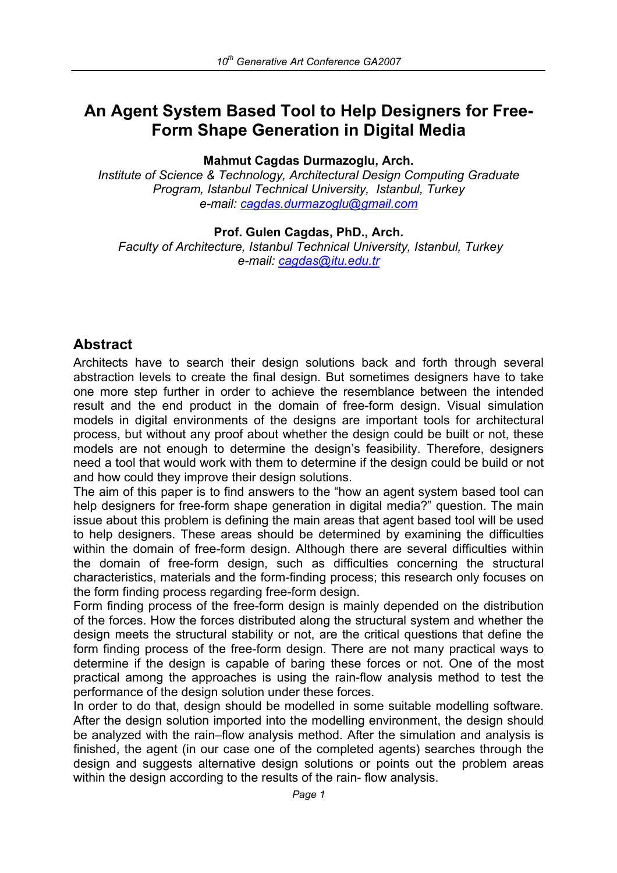# **An Agent System Based Tool to Help Designers for Free-Form Shape Generation in Digital Media**

**Mahmut Cagdas Durmazoglu, Arch.** 

*Institute of Science & Technology, Architectural Design Computing Graduate Program, Istanbul Technical University, Istanbul, Turkey e-mail: cagdas.durmazoglu@gmail.com*

**Prof. Gulen Cagdas, PhD., Arch.** 

 *Faculty of Architecture, Istanbul Technical University, Istanbul, Turkey e-mail: cagdas@itu.edu.tr*

## **Abstract**

Architects have to search their design solutions back and forth through several abstraction levels to create the final design. But sometimes designers have to take one more step further in order to achieve the resemblance between the intended result and the end product in the domain of free-form design. Visual simulation models in digital environments of the designs are important tools for architectural process, but without any proof about whether the design could be built or not, these models are not enough to determine the design's feasibility. Therefore, designers need a tool that would work with them to determine if the design could be build or not and how could they improve their design solutions.

The aim of this paper is to find answers to the "how an agent system based tool can help designers for free-form shape generation in digital media?" guestion. The main issue about this problem is defining the main areas that agent based tool will be used to help designers. These areas should be determined by examining the difficulties within the domain of free-form design. Although there are several difficulties within the domain of free-form design, such as difficulties concerning the structural characteristics, materials and the form-finding process; this research only focuses on the form finding process regarding free-form design.

Form finding process of the free-form design is mainly depended on the distribution of the forces. How the forces distributed along the structural system and whether the design meets the structural stability or not, are the critical questions that define the form finding process of the free-form design. There are not many practical ways to determine if the design is capable of baring these forces or not. One of the most practical among the approaches is using the rain-flow analysis method to test the performance of the design solution under these forces.

In order to do that, design should be modelled in some suitable modelling software. After the design solution imported into the modelling environment, the design should be analyzed with the rain–flow analysis method. After the simulation and analysis is finished, the agent (in our case one of the completed agents) searches through the design and suggests alternative design solutions or points out the problem areas within the design according to the results of the rain- flow analysis.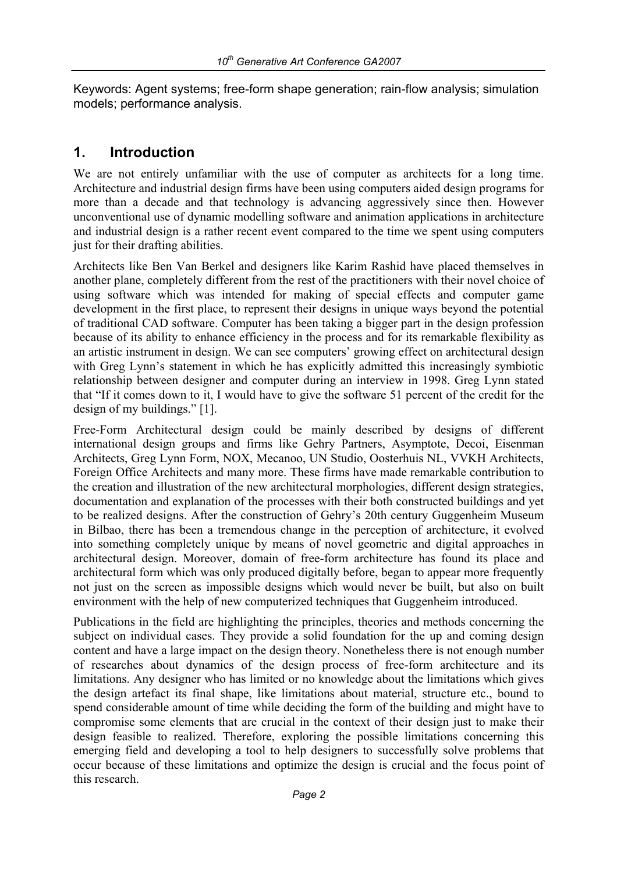Keywords: Agent systems; free-form shape generation; rain-flow analysis; simulation models; performance analysis.

### **1. Introduction**

We are not entirely unfamiliar with the use of computer as architects for a long time. Architecture and industrial design firms have been using computers aided design programs for more than a decade and that technology is advancing aggressively since then. However unconventional use of dynamic modelling software and animation applications in architecture and industrial design is a rather recent event compared to the time we spent using computers just for their drafting abilities.

Architects like Ben Van Berkel and designers like Karim Rashid have placed themselves in another plane, completely different from the rest of the practitioners with their novel choice of using software which was intended for making of special effects and computer game development in the first place, to represent their designs in unique ways beyond the potential of traditional CAD software. Computer has been taking a bigger part in the design profession because of its ability to enhance efficiency in the process and for its remarkable flexibility as an artistic instrument in design. We can see computers' growing effect on architectural design with Greg Lynn's statement in which he has explicitly admitted this increasingly symbiotic relationship between designer and computer during an interview in 1998. Greg Lynn stated that "If it comes down to it, I would have to give the software 51 percent of the credit for the design of my buildings." [1].

Free-Form Architectural design could be mainly described by designs of different international design groups and firms like Gehry Partners, Asymptote, Decoi, Eisenman Architects, Greg Lynn Form, NOX, Mecanoo, UN Studio, Oosterhuis NL, VVKH Architects, Foreign Office Architects and many more. These firms have made remarkable contribution to the creation and illustration of the new architectural morphologies, different design strategies, documentation and explanation of the processes with their both constructed buildings and yet to be realized designs. After the construction of Gehry's 20th century Guggenheim Museum in Bilbao, there has been a tremendous change in the perception of architecture, it evolved into something completely unique by means of novel geometric and digital approaches in architectural design. Moreover, domain of free-form architecture has found its place and architectural form which was only produced digitally before, began to appear more frequently not just on the screen as impossible designs which would never be built, but also on built environment with the help of new computerized techniques that Guggenheim introduced.

Publications in the field are highlighting the principles, theories and methods concerning the subject on individual cases. They provide a solid foundation for the up and coming design content and have a large impact on the design theory. Nonetheless there is not enough number of researches about dynamics of the design process of free-form architecture and its limitations. Any designer who has limited or no knowledge about the limitations which gives the design artefact its final shape, like limitations about material, structure etc., bound to spend considerable amount of time while deciding the form of the building and might have to compromise some elements that are crucial in the context of their design just to make their design feasible to realized. Therefore, exploring the possible limitations concerning this emerging field and developing a tool to help designers to successfully solve problems that occur because of these limitations and optimize the design is crucial and the focus point of this research.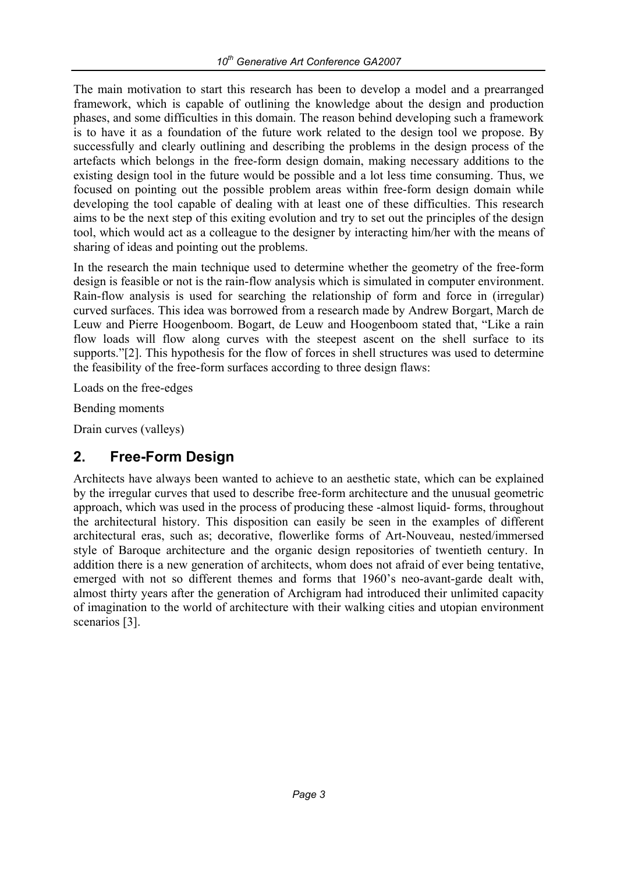The main motivation to start this research has been to develop a model and a prearranged framework, which is capable of outlining the knowledge about the design and production phases, and some difficulties in this domain. The reason behind developing such a framework is to have it as a foundation of the future work related to the design tool we propose. By successfully and clearly outlining and describing the problems in the design process of the artefacts which belongs in the free-form design domain, making necessary additions to the existing design tool in the future would be possible and a lot less time consuming. Thus, we focused on pointing out the possible problem areas within free-form design domain while developing the tool capable of dealing with at least one of these difficulties. This research aims to be the next step of this exiting evolution and try to set out the principles of the design tool, which would act as a colleague to the designer by interacting him/her with the means of sharing of ideas and pointing out the problems.

In the research the main technique used to determine whether the geometry of the free-form design is feasible or not is the rain-flow analysis which is simulated in computer environment. Rain-flow analysis is used for searching the relationship of form and force in (irregular) curved surfaces. This idea was borrowed from a research made by Andrew Borgart, March de Leuw and Pierre Hoogenboom. Bogart, de Leuw and Hoogenboom stated that, "Like a rain flow loads will flow along curves with the steepest ascent on the shell surface to its supports."[2]. This hypothesis for the flow of forces in shell structures was used to determine the feasibility of the free-form surfaces according to three design flaws:

Loads on the free-edges

Bending moments

Drain curves (valleys)

### **2. Free-Form Design**

Architects have always been wanted to achieve to an aesthetic state, which can be explained by the irregular curves that used to describe free-form architecture and the unusual geometric approach, which was used in the process of producing these -almost liquid- forms, throughout the architectural history. This disposition can easily be seen in the examples of different architectural eras, such as; decorative, flowerlike forms of Art-Nouveau, nested/immersed style of Baroque architecture and the organic design repositories of twentieth century. In addition there is a new generation of architects, whom does not afraid of ever being tentative, emerged with not so different themes and forms that 1960's neo-avant-garde dealt with, almost thirty years after the generation of Archigram had introduced their unlimited capacity of imagination to the world of architecture with their walking cities and utopian environment scenarios [3].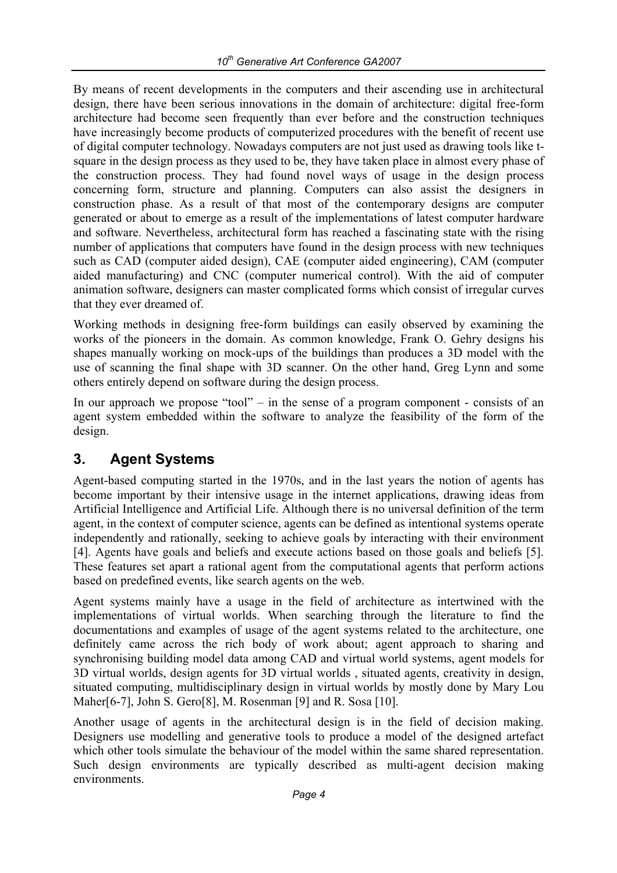By means of recent developments in the computers and their ascending use in architectural design, there have been serious innovations in the domain of architecture: digital free-form architecture had become seen frequently than ever before and the construction techniques have increasingly become products of computerized procedures with the benefit of recent use of digital computer technology. Nowadays computers are not just used as drawing tools like tsquare in the design process as they used to be, they have taken place in almost every phase of the construction process. They had found novel ways of usage in the design process concerning form, structure and planning. Computers can also assist the designers in construction phase. As a result of that most of the contemporary designs are computer generated or about to emerge as a result of the implementations of latest computer hardware and software. Nevertheless, architectural form has reached a fascinating state with the rising number of applications that computers have found in the design process with new techniques such as CAD (computer aided design), CAE (computer aided engineering), CAM (computer aided manufacturing) and CNC (computer numerical control). With the aid of computer animation software, designers can master complicated forms which consist of irregular curves that they ever dreamed of.

Working methods in designing free-form buildings can easily observed by examining the works of the pioneers in the domain. As common knowledge, Frank O. Gehry designs his shapes manually working on mock-ups of the buildings than produces a 3D model with the use of scanning the final shape with 3D scanner. On the other hand, Greg Lynn and some others entirely depend on software during the design process.

In our approach we propose "tool" – in the sense of a program component - consists of an agent system embedded within the software to analyze the feasibility of the form of the design.

## **3. Agent Systems**

Agent-based computing started in the 1970s, and in the last years the notion of agents has become important by their intensive usage in the internet applications, drawing ideas from Artificial Intelligence and Artificial Life. Although there is no universal definition of the term agent, in the context of computer science, agents can be defined as intentional systems operate independently and rationally, seeking to achieve goals by interacting with their environment [4]. Agents have goals and beliefs and execute actions based on those goals and beliefs [5]. These features set apart a rational agent from the computational agents that perform actions based on predefined events, like search agents on the web.

Agent systems mainly have a usage in the field of architecture as intertwined with the implementations of virtual worlds. When searching through the literature to find the documentations and examples of usage of the agent systems related to the architecture, one definitely came across the rich body of work about; agent approach to sharing and synchronising building model data among CAD and virtual world systems, agent models for 3D virtual worlds, design agents for 3D virtual worlds , situated agents, creativity in design, situated computing, multidisciplinary design in virtual worlds by mostly done by Mary Lou Maher[6-7], John S. Gero[8], M. Rosenman [9] and R. Sosa [10].

Another usage of agents in the architectural design is in the field of decision making. Designers use modelling and generative tools to produce a model of the designed artefact which other tools simulate the behaviour of the model within the same shared representation. Such design environments are typically described as multi-agent decision making environments.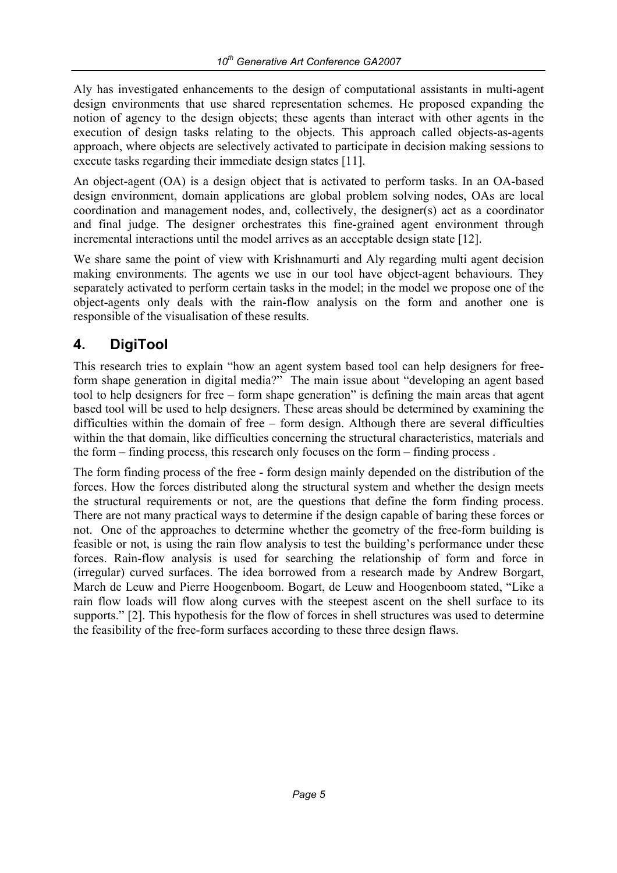Aly has investigated enhancements to the design of computational assistants in multi-agent design environments that use shared representation schemes. He proposed expanding the notion of agency to the design objects; these agents than interact with other agents in the execution of design tasks relating to the objects. This approach called objects-as-agents approach, where objects are selectively activated to participate in decision making sessions to execute tasks regarding their immediate design states [11].

An object-agent (OA) is a design object that is activated to perform tasks. In an OA-based design environment, domain applications are global problem solving nodes, OAs are local coordination and management nodes, and, collectively, the designer(s) act as a coordinator and final judge. The designer orchestrates this fine-grained agent environment through incremental interactions until the model arrives as an acceptable design state [12].

We share same the point of view with Krishnamurti and Aly regarding multi agent decision making environments. The agents we use in our tool have object-agent behaviours. They separately activated to perform certain tasks in the model; in the model we propose one of the object-agents only deals with the rain-flow analysis on the form and another one is responsible of the visualisation of these results.

### **4. DigiTool**

This research tries to explain "how an agent system based tool can help designers for freeform shape generation in digital media?" The main issue about "developing an agent based tool to help designers for free – form shape generation" is defining the main areas that agent based tool will be used to help designers. These areas should be determined by examining the difficulties within the domain of free – form design. Although there are several difficulties within the that domain, like difficulties concerning the structural characteristics, materials and the form – finding process, this research only focuses on the form – finding process .

The form finding process of the free - form design mainly depended on the distribution of the forces. How the forces distributed along the structural system and whether the design meets the structural requirements or not, are the questions that define the form finding process. There are not many practical ways to determine if the design capable of baring these forces or not. One of the approaches to determine whether the geometry of the free-form building is feasible or not, is using the rain flow analysis to test the building's performance under these forces. Rain-flow analysis is used for searching the relationship of form and force in (irregular) curved surfaces. The idea borrowed from a research made by Andrew Borgart, March de Leuw and Pierre Hoogenboom. Bogart, de Leuw and Hoogenboom stated, "Like a rain flow loads will flow along curves with the steepest ascent on the shell surface to its supports." [2]. This hypothesis for the flow of forces in shell structures was used to determine the feasibility of the free-form surfaces according to these three design flaws.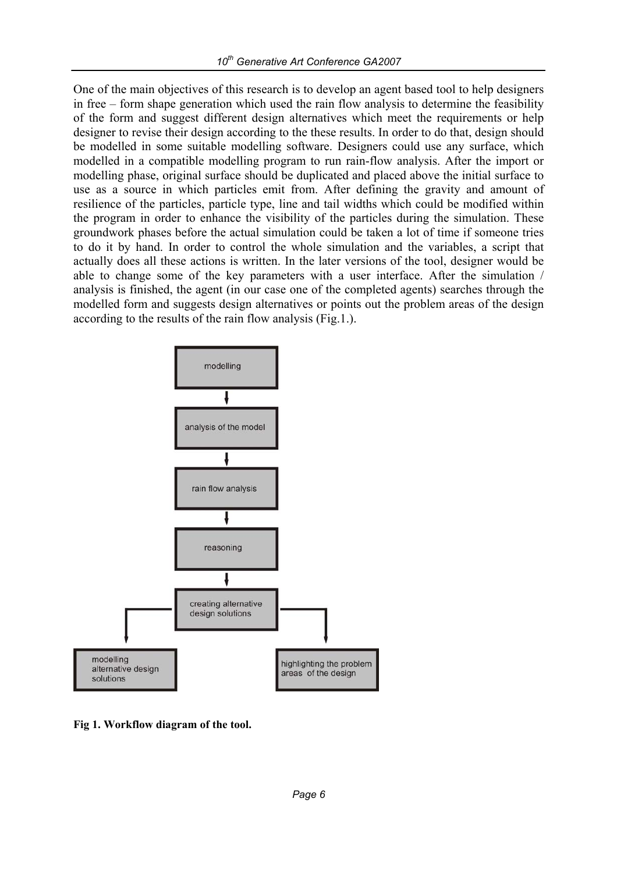One of the main objectives of this research is to develop an agent based tool to help designers in free – form shape generation which used the rain flow analysis to determine the feasibility of the form and suggest different design alternatives which meet the requirements or help designer to revise their design according to the these results. In order to do that, design should be modelled in some suitable modelling software. Designers could use any surface, which modelled in a compatible modelling program to run rain-flow analysis. After the import or modelling phase, original surface should be duplicated and placed above the initial surface to use as a source in which particles emit from. After defining the gravity and amount of resilience of the particles, particle type, line and tail widths which could be modified within the program in order to enhance the visibility of the particles during the simulation. These groundwork phases before the actual simulation could be taken a lot of time if someone tries to do it by hand. In order to control the whole simulation and the variables, a script that actually does all these actions is written. In the later versions of the tool, designer would be able to change some of the key parameters with a user interface. After the simulation / analysis is finished, the agent (in our case one of the completed agents) searches through the modelled form and suggests design alternatives or points out the problem areas of the design according to the results of the rain flow analysis (Fig.1.).



**Fig 1. Workflow diagram of the tool.**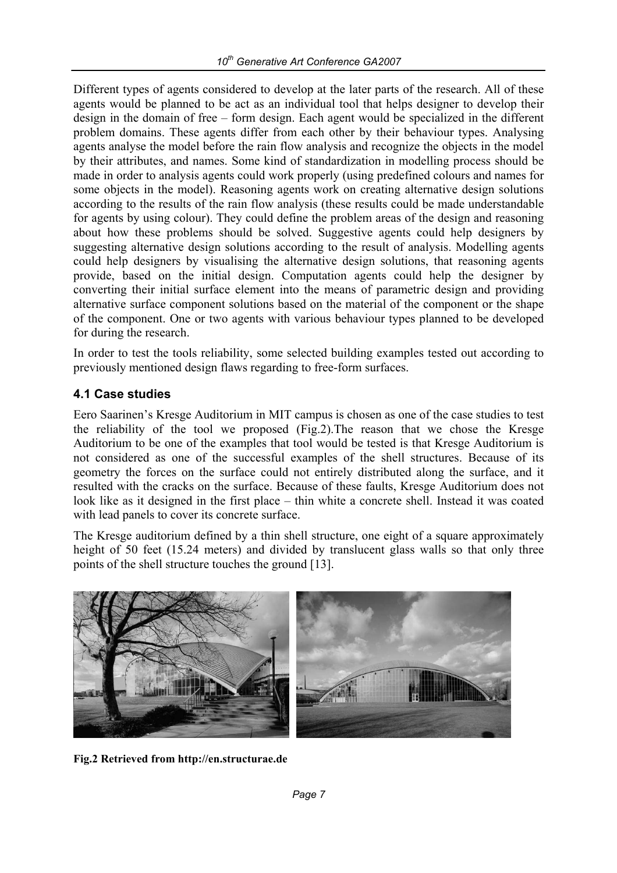Different types of agents considered to develop at the later parts of the research. All of these agents would be planned to be act as an individual tool that helps designer to develop their design in the domain of free – form design. Each agent would be specialized in the different problem domains. These agents differ from each other by their behaviour types. Analysing agents analyse the model before the rain flow analysis and recognize the objects in the model by their attributes, and names. Some kind of standardization in modelling process should be made in order to analysis agents could work properly (using predefined colours and names for some objects in the model). Reasoning agents work on creating alternative design solutions according to the results of the rain flow analysis (these results could be made understandable for agents by using colour). They could define the problem areas of the design and reasoning about how these problems should be solved. Suggestive agents could help designers by suggesting alternative design solutions according to the result of analysis. Modelling agents could help designers by visualising the alternative design solutions, that reasoning agents provide, based on the initial design. Computation agents could help the designer by converting their initial surface element into the means of parametric design and providing alternative surface component solutions based on the material of the component or the shape of the component. One or two agents with various behaviour types planned to be developed for during the research.

In order to test the tools reliability, some selected building examples tested out according to previously mentioned design flaws regarding to free-form surfaces.

### **4.1 Case studies**

Eero Saarinen's Kresge Auditorium in MIT campus is chosen as one of the case studies to test the reliability of the tool we proposed (Fig.2).The reason that we chose the Kresge Auditorium to be one of the examples that tool would be tested is that Kresge Auditorium is not considered as one of the successful examples of the shell structures. Because of its geometry the forces on the surface could not entirely distributed along the surface, and it resulted with the cracks on the surface. Because of these faults, Kresge Auditorium does not look like as it designed in the first place – thin white a concrete shell. Instead it was coated with lead panels to cover its concrete surface.

The Kresge auditorium defined by a thin shell structure, one eight of a square approximately height of 50 feet (15.24 meters) and divided by translucent glass walls so that only three points of the shell structure touches the ground [13].



**Fig.2 Retrieved from http://en.structurae.de**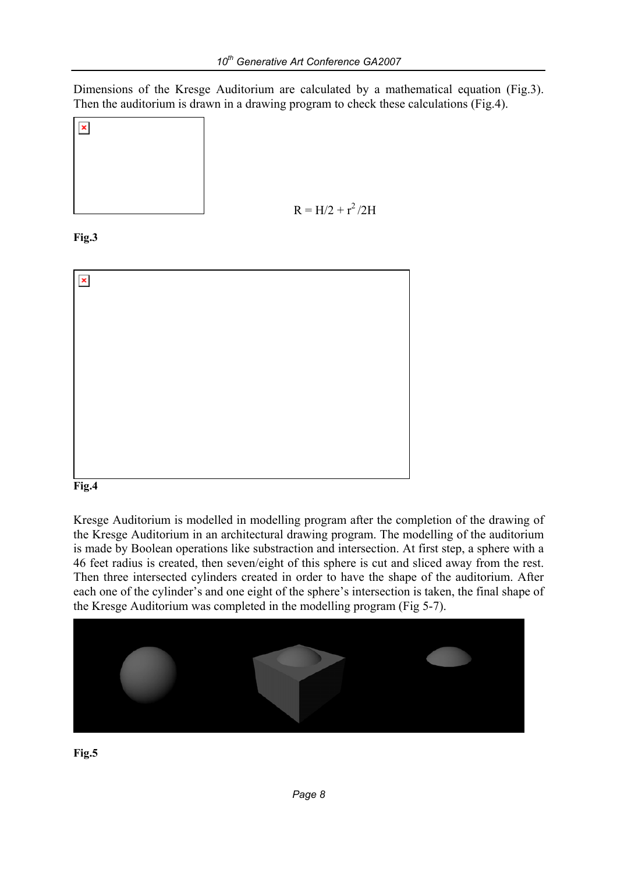Dimensions of the Kresge Auditorium are calculated by a mathematical equation (Fig.3). Then the auditorium is drawn in a drawing program to check these calculations (Fig.4).



 $R = H/2 + r^2/2H$ 

**Fig.3** 



#### **Fig.4**

Kresge Auditorium is modelled in modelling program after the completion of the drawing of the Kresge Auditorium in an architectural drawing program. The modelling of the auditorium is made by Boolean operations like substraction and intersection. At first step, a sphere with a 46 feet radius is created, then seven/eight of this sphere is cut and sliced away from the rest. Then three intersected cylinders created in order to have the shape of the auditorium. After each one of the cylinder's and one eight of the sphere's intersection is taken, the final shape of the Kresge Auditorium was completed in the modelling program (Fig 5-7).



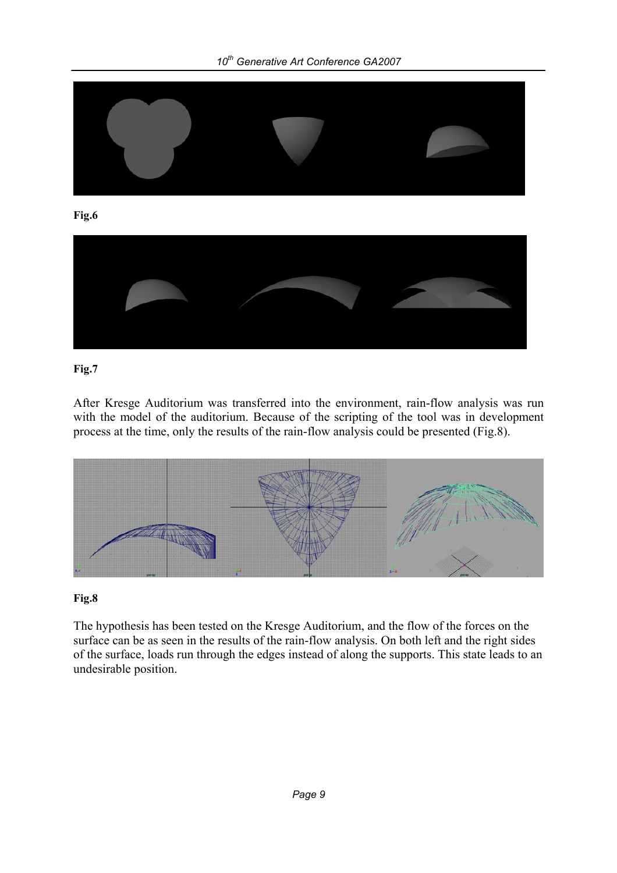

#### **Fig.7**

After Kresge Auditorium was transferred into the environment, rain-flow analysis was run with the model of the auditorium. Because of the scripting of the tool was in development process at the time, only the results of the rain-flow analysis could be presented (Fig.8).



#### **Fig.8**

The hypothesis has been tested on the Kresge Auditorium, and the flow of the forces on the surface can be as seen in the results of the rain-flow analysis. On both left and the right sides of the surface, loads run through the edges instead of along the supports. This state leads to an undesirable position.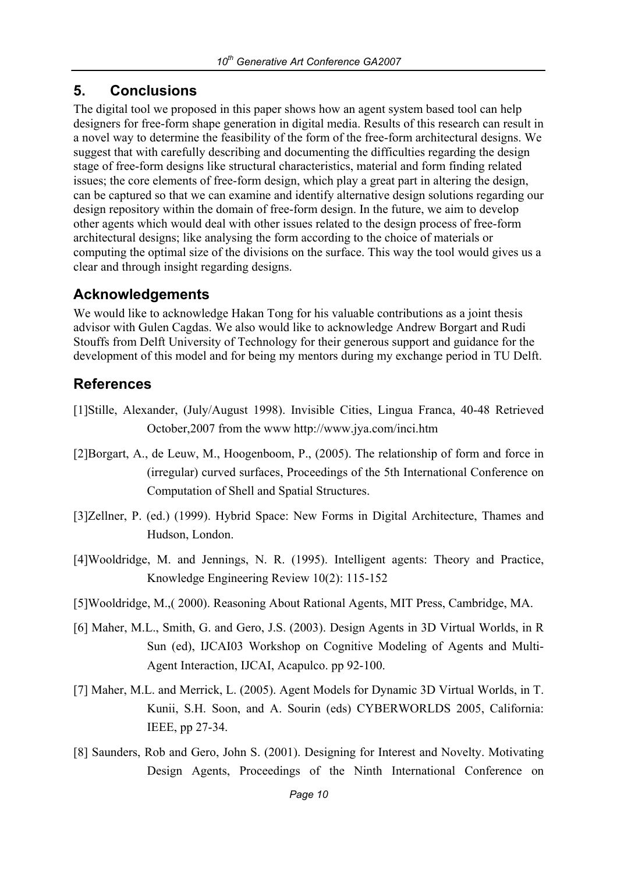## **5. Conclusions**

The digital tool we proposed in this paper shows how an agent system based tool can help designers for free-form shape generation in digital media. Results of this research can result in a novel way to determine the feasibility of the form of the free-form architectural designs. We suggest that with carefully describing and documenting the difficulties regarding the design stage of free-form designs like structural characteristics, material and form finding related issues; the core elements of free-form design, which play a great part in altering the design, can be captured so that we can examine and identify alternative design solutions regarding our design repository within the domain of free-form design. In the future, we aim to develop other agents which would deal with other issues related to the design process of free-form architectural designs; like analysing the form according to the choice of materials or computing the optimal size of the divisions on the surface. This way the tool would gives us a clear and through insight regarding designs.

### **Acknowledgements**

We would like to acknowledge Hakan Tong for his valuable contributions as a joint thesis advisor with Gulen Cagdas. We also would like to acknowledge Andrew Borgart and Rudi Stouffs from Delft University of Technology for their generous support and guidance for the development of this model and for being my mentors during my exchange period in TU Delft.

## **References**

- [1]Stille, Alexander, (July/August 1998). Invisible Cities, Lingua Franca, 40-48 Retrieved October,2007 from the www http://www.jya.com/inci.htm
- [2]Borgart, A., de Leuw, M., Hoogenboom, P., (2005). The relationship of form and force in (irregular) curved surfaces, Proceedings of the 5th International Conference on Computation of Shell and Spatial Structures.
- [3]Zellner, P. (ed.) (1999). Hybrid Space: New Forms in Digital Architecture, Thames and Hudson, London.
- [4]Wooldridge, M. and Jennings, N. R. (1995). Intelligent agents: Theory and Practice, Knowledge Engineering Review 10(2): 115-152
- [5]Wooldridge, M.,( 2000). Reasoning About Rational Agents, MIT Press, Cambridge, MA.
- [6] Maher, M.L., Smith, G. and Gero, J.S. (2003). Design Agents in 3D Virtual Worlds, in R Sun (ed), IJCAI03 Workshop on Cognitive Modeling of Agents and Multi-Agent Interaction, IJCAI, Acapulco. pp 92-100.
- [7] Maher, M.L. and Merrick, L. (2005). Agent Models for Dynamic 3D Virtual Worlds, in T. Kunii, S.H. Soon, and A. Sourin (eds) CYBERWORLDS 2005, California: IEEE, pp 27-34.
- [8] Saunders, Rob and Gero, John S. (2001). Designing for Interest and Novelty. Motivating Design Agents, Proceedings of the Ninth International Conference on